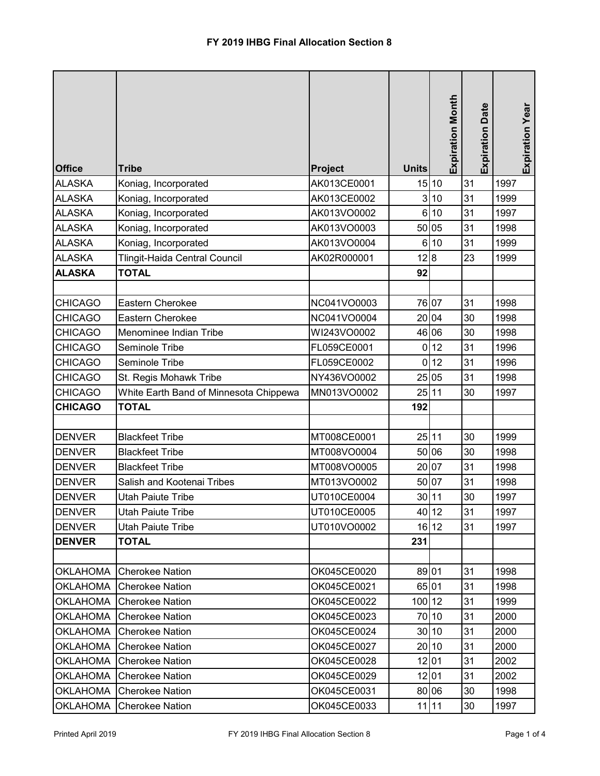| <b>Office</b>   | <b>Tribe</b>                           | <b>Project</b> | <b>Units</b>   | <b>Expiration Month</b> | <b>Expiration Date</b> | <b>Expiration Year</b> |
|-----------------|----------------------------------------|----------------|----------------|-------------------------|------------------------|------------------------|
| <b>ALASKA</b>   | Koniag, Incorporated                   | AK013CE0001    |                | 15 10                   | 31                     | 1997                   |
| <b>ALASKA</b>   | Koniag, Incorporated                   | AK013CE0002    |                | 3 10                    | 31                     | 1999                   |
| <b>ALASKA</b>   | Koniag, Incorporated                   | AK013VO0002    | $6\phantom{.}$ | 10                      | 31                     | 1997                   |
| <b>ALASKA</b>   | Koniag, Incorporated                   | AK013VO0003    |                | 50 05                   | 31                     | 1998                   |
| <b>ALASKA</b>   | Koniag, Incorporated                   | AK013VO0004    |                | 6 10                    | 31                     | 1999                   |
| <b>ALASKA</b>   | Tlingit-Haida Central Council          | AK02R000001    | 12 8           |                         | 23                     | 1999                   |
| <b>ALASKA</b>   | <b>TOTAL</b>                           |                | 92             |                         |                        |                        |
|                 |                                        |                |                |                         |                        |                        |
| <b>CHICAGO</b>  | Eastern Cherokee                       | NC041VO0003    |                | 76 07                   | 31                     | 1998                   |
| <b>CHICAGO</b>  | <b>Eastern Cherokee</b>                | NC041VO0004    |                | 20 04                   | 30                     | 1998                   |
| <b>CHICAGO</b>  | Menominee Indian Tribe                 | WI243VO0002    |                | 46 06                   | 30                     | 1998                   |
| <b>CHICAGO</b>  | Seminole Tribe                         | FL059CE0001    | 0              | 12                      | 31                     | 1996                   |
| <b>CHICAGO</b>  | Seminole Tribe                         | FL059CE0002    | $\mathbf 0$    | 12                      | 31                     | 1996                   |
| <b>CHICAGO</b>  | St. Regis Mohawk Tribe                 | NY436VO0002    |                | 25 05                   | 31                     | 1998                   |
| <b>CHICAGO</b>  | White Earth Band of Minnesota Chippewa | MN013VO0002    | 25 11          |                         | 30                     | 1997                   |
| <b>CHICAGO</b>  | <b>TOTAL</b>                           |                | 192            |                         |                        |                        |
|                 |                                        |                |                |                         |                        |                        |
| <b>DENVER</b>   | <b>Blackfeet Tribe</b>                 | MT008CE0001    | 25 11          |                         | 30                     | 1999                   |
| <b>DENVER</b>   | <b>Blackfeet Tribe</b>                 | MT008VO0004    |                | 50 06                   | 30                     | 1998                   |
| <b>DENVER</b>   | <b>Blackfeet Tribe</b>                 | MT008VO0005    |                | 20 07                   | 31                     | 1998                   |
| <b>DENVER</b>   | Salish and Kootenai Tribes             | MT013VO0002    |                | 50 07                   | 31                     | 1998                   |
| <b>DENVER</b>   | <b>Utah Paiute Tribe</b>               | UT010CE0004    |                | 30 11                   | 30                     | 1997                   |
| <b>IDENVER</b>  | Utah Paiute Tribe                      | UT010CE0005    |                | 40112                   | 31                     | 1997                   |
| DENVER          | <b>Utah Paiute Tribe</b>               | UT010VO0002    |                | $16$   $12$             | 31                     | 1997                   |
| <b>DENVER</b>   | TOTAL                                  |                | 231            |                         |                        |                        |
|                 |                                        |                |                |                         |                        |                        |
| <b>OKLAHOMA</b> | <b>Cherokee Nation</b>                 | OK045CE0020    | 89 01          |                         | 31                     | 1998                   |
| <b>OKLAHOMA</b> | <b>Cherokee Nation</b>                 | OK045CE0021    | 65 01          |                         | 31                     | 1998                   |
| <b>OKLAHOMA</b> | <b>Cherokee Nation</b>                 | OK045CE0022    | 100 12         |                         | 31                     | 1999                   |
| <b>OKLAHOMA</b> | <b>Cherokee Nation</b>                 | OK045CE0023    |                | 70 10                   | 31                     | 2000                   |
| <b>OKLAHOMA</b> | <b>Cherokee Nation</b>                 | OK045CE0024    |                | 30 10                   | 31                     | 2000                   |
| <b>OKLAHOMA</b> | <b>Cherokee Nation</b>                 | OK045CE0027    |                | 20 10                   | 31                     | 2000                   |
| <b>OKLAHOMA</b> | <b>Cherokee Nation</b>                 | OK045CE0028    |                | 12 01                   | 31                     | 2002                   |
| <b>OKLAHOMA</b> | <b>Cherokee Nation</b>                 | OK045CE0029    |                | 12 01                   | 31                     | 2002                   |
| <b>OKLAHOMA</b> | <b>Cherokee Nation</b>                 | OK045CE0031    |                | 80 06                   | 30                     | 1998                   |
| <b>OKLAHOMA</b> | <b>Cherokee Nation</b>                 | OK045CE0033    |                | $11$   11               | 30                     | 1997                   |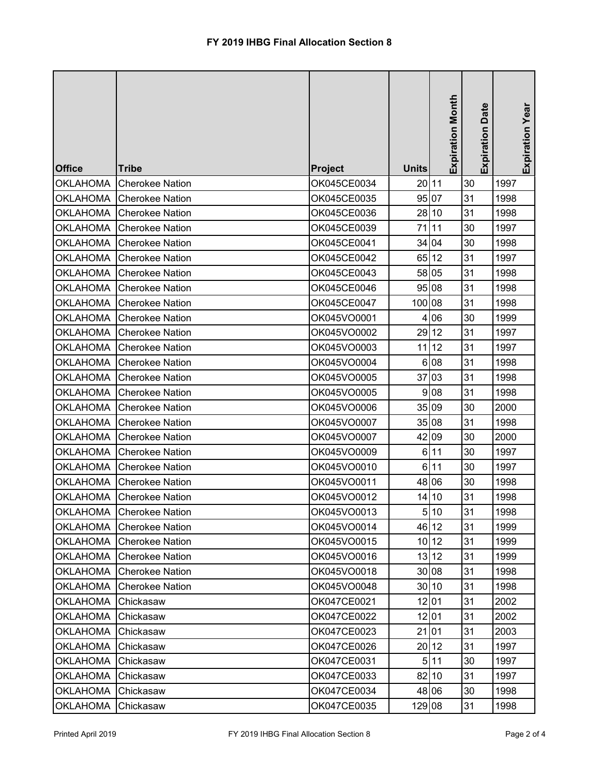| <b>Office</b>   | <b>Tribe</b>             | <b>Project</b> | <b>Units</b>   | <b>Expiration Month</b> | <b>Expiration Date</b> | Expiration Year |
|-----------------|--------------------------|----------------|----------------|-------------------------|------------------------|-----------------|
| <b>OKLAHOMA</b> | <b>Cherokee Nation</b>   | OK045CE0034    | 20 11          |                         | 30                     | 1997            |
| OKLAHOMA        | <b>Cherokee Nation</b>   | OK045CE0035    |                | 95 07                   | 31                     | 1998            |
| <b>OKLAHOMA</b> | <b>Cherokee Nation</b>   | OK045CE0036    |                | 28 10                   | 31                     | 1998            |
| <b>OKLAHOMA</b> | <b>Cherokee Nation</b>   | OK045CE0039    | 71             | 11                      | 30                     | 1997            |
| <b>OKLAHOMA</b> | <b>Cherokee Nation</b>   | OK045CE0041    | 34             | 04                      | 30                     | 1998            |
| <b>OKLAHOMA</b> | <b>Cherokee Nation</b>   | OK045CE0042    | 65             | 12                      | 31                     | 1997            |
| <b>OKLAHOMA</b> | <b>Cherokee Nation</b>   | OK045CE0043    |                | 58 05                   | 31                     | 1998            |
| <b>OKLAHOMA</b> | <b>Cherokee Nation</b>   | OK045CE0046    |                | 95 08                   | 31                     | 1998            |
| <b>OKLAHOMA</b> | <b>Cherokee Nation</b>   | OK045CE0047    | 100 08         |                         | 31                     | 1998            |
| <b>OKLAHOMA</b> | <b>Cherokee Nation</b>   | OK045VO0001    | 4              | 06                      | 30                     | 1999            |
| <b>OKLAHOMA</b> | <b>Cherokee Nation</b>   | OK045VO0002    |                | 29 12                   | 31                     | 1997            |
| <b>OKLAHOMA</b> | <b>Cherokee Nation</b>   | OK045VO0003    | 11             | 12                      | 31                     | 1997            |
| OKLAHOMA        | <b>Cherokee Nation</b>   | OK045VO0004    |                | 6 08                    | 31                     | 1998            |
| <b>OKLAHOMA</b> | <b>Cherokee Nation</b>   | OK045VO0005    | 37             | 03                      | 31                     | 1998            |
| <b>OKLAHOMA</b> | <b>Cherokee Nation</b>   | OK045VO0005    | $\overline{9}$ | 08                      | 31                     | 1998            |
| <b>OKLAHOMA</b> | <b>Cherokee Nation</b>   | OK045VO0006    |                | 35 09                   | 30                     | 2000            |
| <b>OKLAHOMA</b> | <b>Cherokee Nation</b>   | OK045VO0007    |                | 35 08                   | 31                     | 1998            |
| <b>OKLAHOMA</b> | <b>Cherokee Nation</b>   | OK045VO0007    |                | 42 09                   | 30                     | 2000            |
| <b>OKLAHOMA</b> | <b>Cherokee Nation</b>   | OK045VO0009    | 6              | 11                      | 30                     | 1997            |
| <b>OKLAHOMA</b> | <b>Cherokee Nation</b>   | OK045VO0010    | $6\phantom{.}$ | 11                      | 30                     | 1997            |
| <b>OKLAHOMA</b> | <b>Cherokee Nation</b>   | OK045VO0011    | 48             | 06                      | 30                     | 1998            |
| <b>OKLAHOMA</b> | <b>Cherokee Nation</b>   | OK045VO0012    | 14             | 10                      | 31                     | 1998            |
|                 | OKLAHOMA Cherokee Nation | OK045VO0013    |                | 5 10                    | 31                     | 1998            |
| <b>OKLAHOMA</b> | <b>Cherokee Nation</b>   | OK045VO0014    |                | 46 12                   | 31                     | 1999            |
| <b>OKLAHOMA</b> | Cherokee Nation          | OK045VO0015    |                | 10 12                   | 31                     | 1999            |
| <b>OKLAHOMA</b> | <b>Cherokee Nation</b>   | OK045VO0016    |                | 13 12                   | 31                     | 1999            |
| <b>OKLAHOMA</b> | <b>Cherokee Nation</b>   | OK045VO0018    |                | 30 08                   | 31                     | 1998            |
| <b>OKLAHOMA</b> | <b>Cherokee Nation</b>   | OK045VO0048    |                | 30 10                   | 31                     | 1998            |
| <b>OKLAHOMA</b> | Chickasaw                | OK047CE0021    |                | 12 01                   | 31                     | 2002            |
| <b>OKLAHOMA</b> | Chickasaw                | OK047CE0022    |                | 12 01                   | 31                     | 2002            |
| <b>OKLAHOMA</b> | Chickasaw                | OK047CE0023    |                | 21 01                   | 31                     | 2003            |
| <b>OKLAHOMA</b> | Chickasaw                | OK047CE0026    |                | 20 12                   | 31                     | 1997            |
| <b>OKLAHOMA</b> | Chickasaw                | OK047CE0031    |                | 5 11                    | 30                     | 1997            |
| <b>OKLAHOMA</b> | Chickasaw                | OK047CE0033    |                | 82 10                   | 31                     | 1997            |
| <b>OKLAHOMA</b> | Chickasaw                | OK047CE0034    |                | 48 06                   | 30                     | 1998            |
| <b>OKLAHOMA</b> | Chickasaw                | OK047CE0035    | 129 08         |                         | 31                     | 1998            |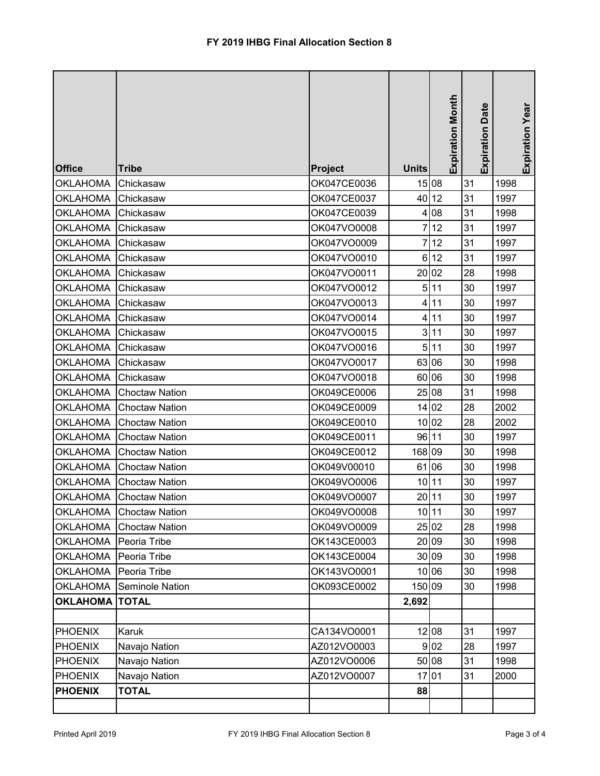|                         |                       |                               |                | <b>Expiration Month</b> | Date       | Expiration Year |
|-------------------------|-----------------------|-------------------------------|----------------|-------------------------|------------|-----------------|
|                         |                       |                               |                |                         |            |                 |
| <b>Office</b>           | <b>Tribe</b>          |                               |                |                         | Expiration |                 |
| <b>OKLAHOMA</b>         | Chickasaw             | <b>Project</b><br>OK047CE0036 | <b>Units</b>   | 15 08                   | 31         | 1998            |
| <b>OKLAHOMA</b>         | Chickasaw             | OK047CE0037                   |                | 40 12                   | 31         | 1997            |
| <b>OKLAHOMA</b>         | Chickasaw             | OK047CE0039                   | 4              | 08                      | 31         | 1998            |
| <b>OKLAHOMA</b>         | Chickasaw             | OK047VO0008                   | 7              | 12                      | 31         | 1997            |
| <b>OKLAHOMA</b>         | Chickasaw             | OK047VO0009                   | 7              | 12                      | 31         | 1997            |
| <b>OKLAHOMA</b>         | Chickasaw             | OK047VO0010                   | 6              | 12                      | 31         | 1997            |
| <b>OKLAHOMA</b>         | Chickasaw             | OK047VO0011                   | 20             | 02                      | 28         | 1998            |
| <b>OKLAHOMA</b>         | Chickasaw             | OK047VO0012                   | 5              | 11                      | 30         | 1997            |
| <b>OKLAHOMA</b>         | Chickasaw             | OK047VO0013                   | 4              | 11                      | 30         | 1997            |
| <b>OKLAHOMA</b>         | Chickasaw             | OK047VO0014                   | 4              | 11                      | 30         | 1997            |
| <b>OKLAHOMA</b>         | Chickasaw             | OK047VO0015                   | $\overline{3}$ | 11                      | 30         | 1997            |
| <b>OKLAHOMA</b>         | Chickasaw             | OK047VO0016                   | 5 <sup>1</sup> | 11                      | 30         | 1997            |
| <b>OKLAHOMA</b>         | Chickasaw             | OK047VO0017                   |                | 63 06                   | 30         | 1998            |
| OKLAHOMA                | Chickasaw             | OK047VO0018                   | 60             | 06                      | 30         | 1998            |
| OKLAHOMA                | <b>Choctaw Nation</b> | OK049CE0006                   |                | 25 08                   | 31         | 1998            |
| <b>OKLAHOMA</b>         | <b>Choctaw Nation</b> | OK049CE0009                   |                | 14 02                   | 28         | 2002            |
| <b>OKLAHOMA</b>         | <b>Choctaw Nation</b> | OK049CE0010                   |                | 10 02                   | 28         | 2002            |
| <b>OKLAHOMA</b>         | <b>Choctaw Nation</b> | OK049CE0011                   |                | 96 11                   | 30         | 1997            |
| <b>OKLAHOMA</b>         | <b>Choctaw Nation</b> | OK049CE0012                   | 168 09         |                         | 30         | 1998            |
| <b>OKLAHOMA</b>         | <b>Choctaw Nation</b> | OK049V00010                   | 61             | 06                      | 30         | 1998            |
| <b>OKLAHOMA</b>         | <b>Choctaw Nation</b> | OK049VO0006                   | 10             | 11                      | 30         | 1997            |
| <b>OKLAHOMA</b>         | <b>Choctaw Nation</b> | OK049VO0007                   | 20             | 11                      | 30         | 1997            |
| OKLAHOMA                | Choctaw Nation        | OK049VO0008                   |                | 10   11                 | 30         | 1997            |
| <b>OKLAHOMA</b>         | <b>Choctaw Nation</b> | OK049VO0009                   |                | 25 02                   | 28         | 1998            |
| <b>OKLAHOMA</b>         | Peoria Tribe          | OK143CE0003                   |                | 20 09                   | 30         | 1998            |
| <b>OKLAHOMA</b>         | Peoria Tribe          | OK143CE0004                   |                | 30 09                   | 30         | 1998            |
| <b>OKLAHOMA</b>         | Peoria Tribe          | OK143VO0001                   |                | 10 06                   | 30         | 1998            |
| OKLAHOMA                | Seminole Nation       | OK093CE0002                   | 150 09         |                         | 30         | 1998            |
| <b>OKLAHOMA   TOTAL</b> |                       |                               | 2,692          |                         |            |                 |
|                         |                       |                               |                |                         |            |                 |
| <b>PHOENIX</b>          | Karuk                 | CA134VO0001                   |                | 12 08                   | 31         | 1997            |
| <b>PHOENIX</b>          | Navajo Nation         | AZ012VO0003                   |                | 9 02                    | 28         | 1997            |
| <b>PHOENIX</b>          | Navajo Nation         | AZ012VO0006                   |                | 50 08                   | 31         | 1998            |
| <b>PHOENIX</b>          | Navajo Nation         | AZ012VO0007                   |                | 1701                    | 31         | 2000            |
| <b>PHOENIX</b>          | <b>TOTAL</b>          |                               | 88             |                         |            |                 |
|                         |                       |                               |                |                         |            |                 |